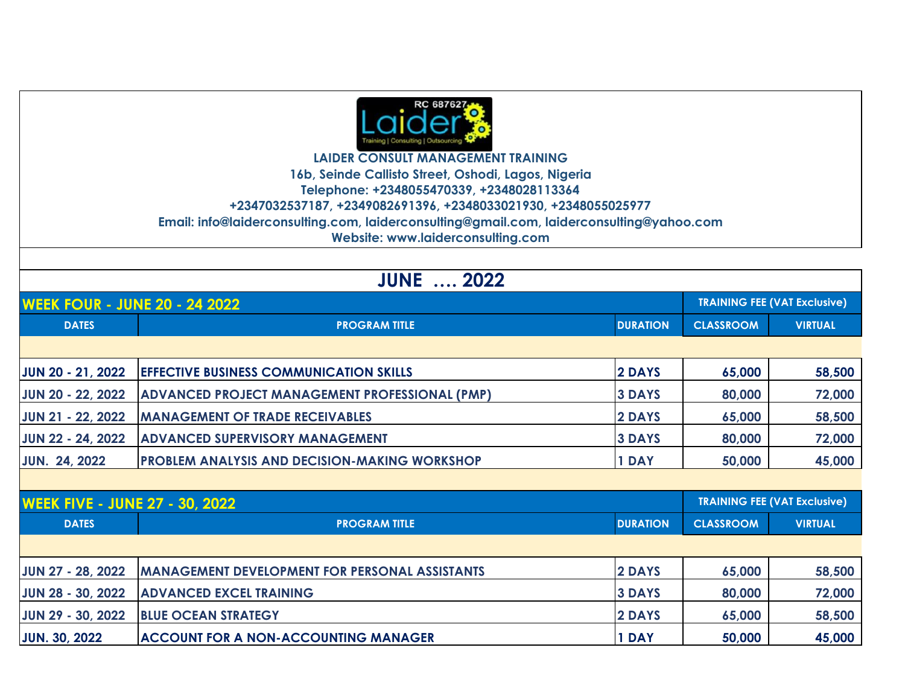

**LAIDER CONSULT MANAGEMENT TRAINING 16b, Seinde Callisto Street, Oshodi, Lagos, Nigeria Telephone: +2348055470339, +2348028113364 +2347032537187, +2349082691396, +2348033021930, +2348055025977 Email: info@laiderconsulting.com, laiderconsulting@gmail.com, laiderconsulting@yahoo.com Website: www.laiderconsulting.com**

|                                       | <b>JUNE  2022</b>                                     |                 |                                     |                |  |  |
|---------------------------------------|-------------------------------------------------------|-----------------|-------------------------------------|----------------|--|--|
| <b>WEEK FOUR - JUNE 20 - 24 2022</b>  |                                                       |                 | <b>TRAINING FEE (VAT Exclusive)</b> |                |  |  |
| <b>DATES</b>                          | <b>PROGRAM TITLE</b>                                  | <b>DURATION</b> | <b>CLASSROOM</b>                    | <b>VIRTUAL</b> |  |  |
|                                       |                                                       |                 |                                     |                |  |  |
| <b>JUN 20 - 21, 2022</b>              | <b>EFFECTIVE BUSINESS COMMUNICATION SKILLS</b>        | 2 DAYS          | 65,000                              | 58,500         |  |  |
| <b>JUN 20 - 22, 2022</b>              | <b>ADVANCED PROJECT MANAGEMENT PROFESSIONAL (PMP)</b> | <b>3 DAYS</b>   | 80,000                              | 72,000         |  |  |
| JUN 21 - 22, 2022                     | <b>MANAGEMENT OF TRADE RECEIVABLES</b>                | 2 DAYS          | 65,000                              | 58,500         |  |  |
| JUN 22 - 24, 2022                     | <b>ADVANCED SUPERVISORY MANAGEMENT</b>                | <b>3 DAYS</b>   | 80,000                              | 72,000         |  |  |
| <b>JUN. 24, 2022</b>                  | <b>PROBLEM ANALYSIS AND DECISION-MAKING WORKSHOP</b>  | 1 DAY           | 50,000                              | 45,000         |  |  |
|                                       |                                                       |                 |                                     |                |  |  |
| <b>WEEK FIVE - JUNE 27 - 30, 2022</b> |                                                       |                 | <b>TRAINING FEE (VAT Exclusive)</b> |                |  |  |
| <b>DATES</b>                          | <b>PROGRAM TITLE</b>                                  | <b>DURATION</b> | <b>CLASSROOM</b>                    | <b>VIRTUAL</b> |  |  |
|                                       |                                                       |                 |                                     |                |  |  |
| <b>JUN 27 - 28, 2022</b>              | <b>MANAGEMENT DEVELOPMENT FOR PERSONAL ASSISTANTS</b> | 2 DAYS          | 65,000                              | 58,500         |  |  |
| <b>JUN 28 - 30, 2022</b>              | <b>ADVANCED EXCEL TRAINING</b>                        | <b>3 DAYS</b>   | 80,000                              | 72,000         |  |  |
| JUN 29 - 30, 2022                     | <b>BLUE OCEAN STRATEGY</b>                            | 2 DAYS          | 65,000                              | 58,500         |  |  |
| <b>JUN. 30, 2022</b>                  | <b>ACCOUNT FOR A NON-ACCOUNTING MANAGER</b>           | 1 DAY           | 50,000                              | 45,000         |  |  |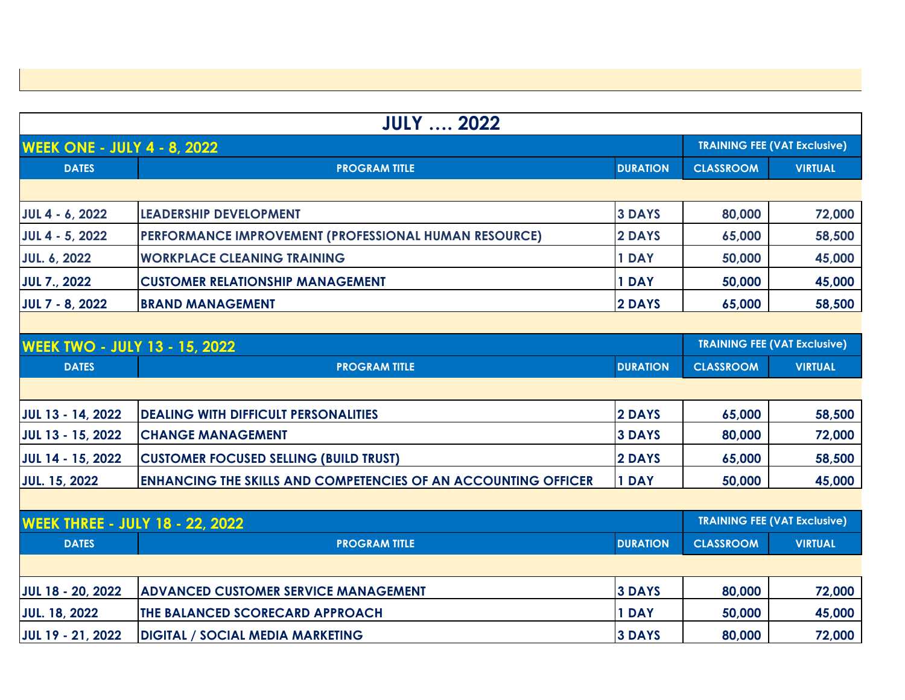| <b>JULY  2022</b>                      |                                                                       |                                     |                  |                                     |
|----------------------------------------|-----------------------------------------------------------------------|-------------------------------------|------------------|-------------------------------------|
| <b>WEEK ONE - JULY 4 - 8, 2022</b>     |                                                                       |                                     |                  | <b>TRAINING FEE (VAT Exclusive)</b> |
| <b>DATES</b>                           | <b>PROGRAM TITLE</b>                                                  | <b>DURATION</b>                     | <b>CLASSROOM</b> | <b>VIRTUAL</b>                      |
|                                        |                                                                       |                                     |                  |                                     |
| <b>JUL 4 - 6, 2022</b>                 | <b>LEADERSHIP DEVELOPMENT</b>                                         | <b>3 DAYS</b>                       | 80,000           | 72,000                              |
| JUL 4 - 5, 2022                        | PERFORMANCE IMPROVEMENT (PROFESSIONAL HUMAN RESOURCE)                 | 2 DAYS                              | 65,000           | 58,500                              |
| <b>JUL. 6, 2022</b>                    | <b>WORKPLACE CLEANING TRAINING</b>                                    | 1 DAY                               | 50,000           | 45,000                              |
| <b>JUL 7., 2022</b>                    | <b>CUSTOMER RELATIONSHIP MANAGEMENT</b>                               | 1 DAY                               | 50,000           | 45,000                              |
| <b>JUL 7 - 8, 2022</b>                 | <b>BRAND MANAGEMENT</b>                                               | 2 DAYS                              | 65,000           | 58,500                              |
|                                        |                                                                       |                                     |                  |                                     |
| <b>WEEK TWO - JULY 13 - 15, 2022</b>   |                                                                       | <b>TRAINING FEE (VAT Exclusive)</b> |                  |                                     |
| <b>DATES</b>                           | <b>PROGRAM TITLE</b>                                                  | <b>DURATION</b>                     | <b>CLASSROOM</b> | <b>VIRTUAL</b>                      |
|                                        |                                                                       |                                     |                  |                                     |
| JUL 13 - 14, 2022                      | <b>DEALING WITH DIFFICULT PERSONALITIES</b>                           | 2 DAYS                              | 65,000           | 58,500                              |
| JUL 13 - 15, 2022                      | <b>CHANGE MANAGEMENT</b>                                              | <b>3 DAYS</b>                       | 80,000           | 72,000                              |
| <b>JUL 14 - 15, 2022</b>               | <b>CUSTOMER FOCUSED SELLING (BUILD TRUST)</b>                         | 2 DAYS                              | 65,000           | 58,500                              |
| <b>JUL. 15, 2022</b>                   | <b>ENHANCING THE SKILLS AND COMPETENCIES OF AN ACCOUNTING OFFICER</b> | 1 DAY                               | 50,000           | 45,000                              |
|                                        |                                                                       |                                     |                  |                                     |
| <b>WEEK THREE - JULY 18 - 22, 2022</b> |                                                                       |                                     |                  | <b>TRAINING FEE (VAT Exclusive)</b> |
| <b>DATES</b>                           | <b>PROGRAM TITLE</b>                                                  | <b>DURATION</b>                     | <b>CLASSROOM</b> | <b>VIRTUAL</b>                      |
|                                        |                                                                       |                                     |                  |                                     |
| <b>JUL 18 - 20, 2022</b>               | <b>ADVANCED CUSTOMER SERVICE MANAGEMENT</b>                           | <b>3 DAYS</b>                       | 80,000           | 72,000                              |
| <b>JUL. 18, 2022</b>                   | THE BALANCED SCORECARD APPROACH                                       | 1 DAY                               | 50,000           | 45,000                              |
| <b>JUL 19 - 21, 2022</b>               | <b>DIGITAL / SOCIAL MEDIA MARKETING</b>                               | <b>3 DAYS</b>                       | 80,000           | 72,000                              |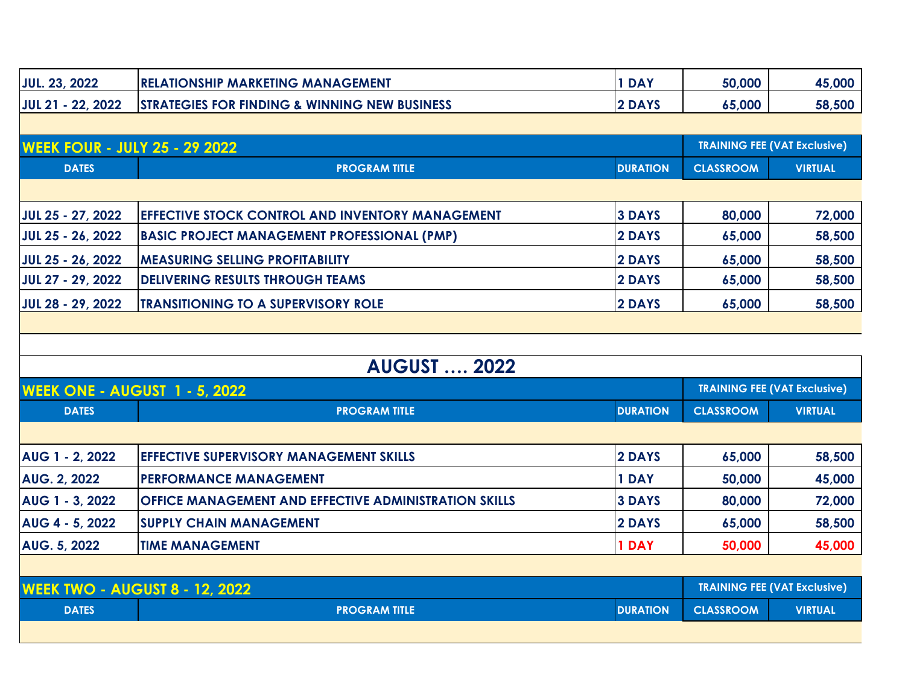| <b>JUL. 23, 2022</b>                  | <b>RELATIONSHIP MARKETING MANAGEMENT</b>                 | 1 DAY           | 50,000                              | 45,000                              |
|---------------------------------------|----------------------------------------------------------|-----------------|-------------------------------------|-------------------------------------|
| JUL 21 - 22, 2022                     | <b>STRATEGIES FOR FINDING &amp; WINNING NEW BUSINESS</b> | 2 DAYS          | 65,000                              | 58,500                              |
|                                       |                                                          |                 |                                     |                                     |
| <b>WEEK FOUR - JULY 25 - 29 2022</b>  |                                                          |                 |                                     | <b>TRAINING FEE (VAT Exclusive)</b> |
| <b>DATES</b>                          | <b>PROGRAM TITLE</b>                                     | <b>DURATION</b> | <b>CLASSROOM</b>                    | <b>VIRTUAL</b>                      |
|                                       |                                                          |                 |                                     |                                     |
| JUL 25 - 27, 2022                     | EFFECTIVE STOCK CONTROL AND INVENTORY MANAGEMENT         | <b>3 DAYS</b>   | 80,000                              | 72,000                              |
| JUL 25 - 26, 2022                     | <b>BASIC PROJECT MANAGEMENT PROFESSIONAL (PMP)</b>       | 2 DAYS          | 65,000                              | 58,500                              |
| JUL 25 - 26, 2022                     | <b>MEASURING SELLING PROFITABILITY</b>                   | 2 DAYS          | 65,000                              | 58,500                              |
| JUL 27 - 29, 2022                     | <b>DELIVERING RESULTS THROUGH TEAMS</b>                  | 2 DAYS          | 65,000                              | 58,500                              |
| JUL 28 - 29, 2022                     | <b>TRANSITIONING TO A SUPERVISORY ROLE</b>               | 2 DAYS          | 65,000                              | 58,500                              |
|                                       |                                                          |                 |                                     |                                     |
|                                       |                                                          |                 |                                     |                                     |
|                                       | <b>AUGUST  2022</b>                                      |                 |                                     |                                     |
| <b>WEEK ONE - AUGUST 1 - 5, 2022</b>  |                                                          |                 |                                     | <b>TRAINING FEE (VAT Exclusive)</b> |
| <b>DATES</b>                          | <b>PROGRAM TITLE</b>                                     | <b>DURATION</b> | <b>CLASSROOM</b>                    | <b>VIRTUAL</b>                      |
|                                       |                                                          |                 |                                     |                                     |
| AUG 1 - 2, 2022                       | <b>EFFECTIVE SUPERVISORY MANAGEMENT SKILLS</b>           | 2 DAYS          | 65,000                              | 58,500                              |
| <b>AUG. 2, 2022</b>                   | <b>PERFORMANCE MANAGEMENT</b>                            | 1 DAY           | 50,000                              | 45,000                              |
| AUG 1 - 3, 2022                       | OFFICE MANAGEMENT AND EFFECTIVE ADMINISTRATION SKILLS    | <b>3 DAYS</b>   | 80,000                              | 72,000                              |
| AUG 4 - 5, 2022                       | <b>SUPPLY CHAIN MANAGEMENT</b>                           | 2 DAYS          | 65,000                              | 58,500                              |
| <b>AUG. 5, 2022</b>                   | <b>TIME MANAGEMENT</b>                                   | 1 DAY           | 50,000                              | 45,000                              |
|                                       |                                                          |                 |                                     |                                     |
|                                       |                                                          |                 |                                     |                                     |
| <b>WEEK TWO - AUGUST 8 - 12, 2022</b> |                                                          |                 | <b>TRAINING FEE (VAT Exclusive)</b> |                                     |
| <b>DATES</b>                          | <b>PROGRAM TITLE</b>                                     | <b>DURATION</b> | <b>CLASSROOM</b>                    | <b>VIRTUAL</b>                      |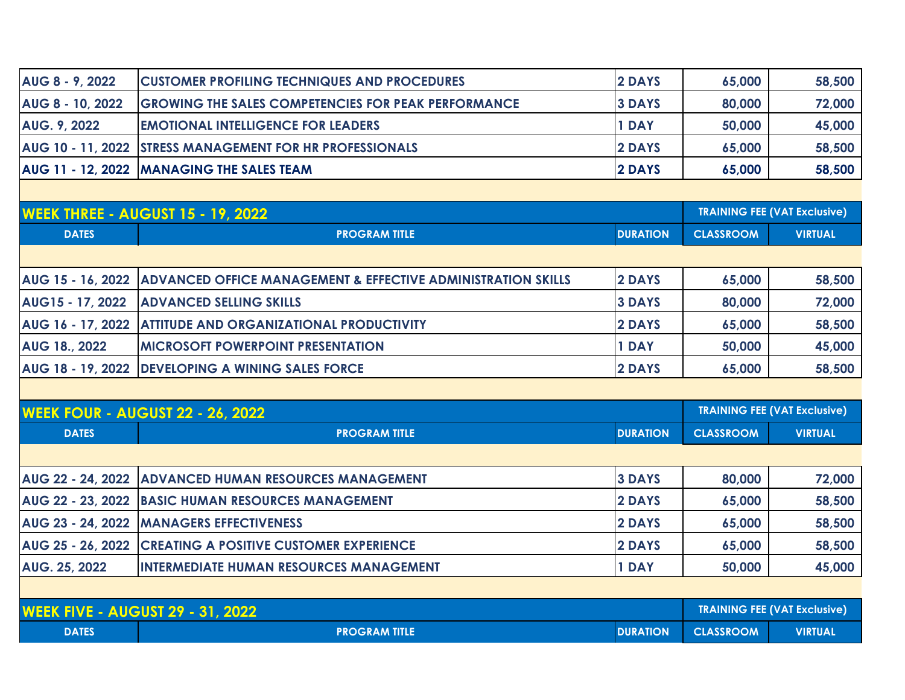| AUG 8 - 9, 2022     | <b>CUSTOMER PROFILING TECHNIQUES AND PROCEDURES</b>             | <b>2 DAYS</b> | 65,000 | 58,500 |
|---------------------|-----------------------------------------------------------------|---------------|--------|--------|
| AUG 8 - 10, 2022    | <b>GROWING THE SALES COMPETENCIES FOR PEAK PERFORMANCE</b>      | <b>3 DAYS</b> | 80,000 | 72,000 |
| <b>AUG. 9, 2022</b> | <b>EMOTIONAL INTELLIGENCE FOR LEADERS</b>                       | 1 DAY         | 50,000 | 45,000 |
|                     | <b>AUG 10 - 11, 2022 STRESS MANAGEMENT FOR HR PROFESSIONALS</b> | <b>2 DAYS</b> | 65,000 | 58,500 |
|                     | AUG 11 - 12, 2022 MANAGING THE SALES TEAM                       | <b>2 DAYS</b> | 65,000 | 58,500 |
|                     |                                                                 |               |        |        |

| <b>WEEK THREE - AUGUST 15 - 19, 2022</b> |                                                                                           |               | <b>TRAINING FEE (VAT Exclusive)</b> |                |
|------------------------------------------|-------------------------------------------------------------------------------------------|---------------|-------------------------------------|----------------|
| <b>DATES</b>                             | <b>DURATION</b><br><b>PROGRAM TITLE</b>                                                   |               | <b>CLASSROOM</b>                    | <b>VIRTUAL</b> |
|                                          |                                                                                           |               |                                     |                |
|                                          | <b>AUG 15 - 16, 2022 ADVANCED OFFICE MANAGEMENT &amp; EFFECTIVE ADMINISTRATION SKILLS</b> | <b>2 DAYS</b> | 65,000                              | 58,500         |
| AUG15 - 17, 2022                         | <b>ADVANCED SELLING SKILLS</b>                                                            | <b>3 DAYS</b> | 80,000                              | 72,000         |
|                                          | <b>AUG 16 - 17, 2022 ATTITUDE AND ORGANIZATIONAL PRODUCTIVITY</b>                         | 2 DAYS        | 65,000                              | 58,500         |
| <b>AUG 18., 2022</b>                     | <b>IMICROSOFT POWERPOINT PRESENTATION</b>                                                 | <b>DAY</b>    | 50,000                              | 45,000         |
|                                          | AUG 18 - 19, 2022 DEVELOPING A WINING SALES FORCE                                         | 2 DAYS        | 65,000                              | 58,500         |

| <b>WEEK FOUR - AUGUST 22 - 26, 2022</b> |                                                                  | <b>TRAINING FEE (VAT Exclusive)</b> |                  |                |
|-----------------------------------------|------------------------------------------------------------------|-------------------------------------|------------------|----------------|
| <b>DATES</b>                            | <b>DURATION</b><br><b>PROGRAM TITLE</b>                          |                                     | <b>CLASSROOM</b> | <b>VIRTUAL</b> |
|                                         |                                                                  |                                     |                  |                |
|                                         | <b>AUG 22 - 24, 2022 ADVANCED HUMAN RESOURCES MANAGEMENT</b>     | <b>3 DAYS</b>                       | 80,000           | 72,000         |
|                                         | AUG 22 - 23, 2022   BASIC HUMAN RESOURCES MANAGEMENT             | 2 DAYS                              | 65,000           | 58,500         |
|                                         | AUG 23 - 24, 2022 MANAGERS EFFECTIVENESS                         | <b>2 DAYS</b>                       | 65,000           | 58,500         |
|                                         | <b>AUG 25 - 26, 2022 CREATING A POSITIVE CUSTOMER EXPERIENCE</b> | 2 DAYS                              | 65,000           | 58,500         |
| AUG. 25, 2022                           | <b>INTERMEDIATE HUMAN RESOURCES MANAGEMENT</b>                   | 1 DAY                               | 50,000           | 45,000         |
|                                         |                                                                  |                                     |                  |                |

| <b>WEEK FIVE - AUGUST 29 - 31, 2022</b> |                      |                 | <b>TRAINING FEE (VAT Exclusive)</b> |                |
|-----------------------------------------|----------------------|-----------------|-------------------------------------|----------------|
| <b>DATES</b>                            | <b>PROGRAM TITLE</b> | <b>DURATION</b> | <b>CLASSROOM</b>                    | <b>VIRTUAL</b> |

 $\mathbf{I}$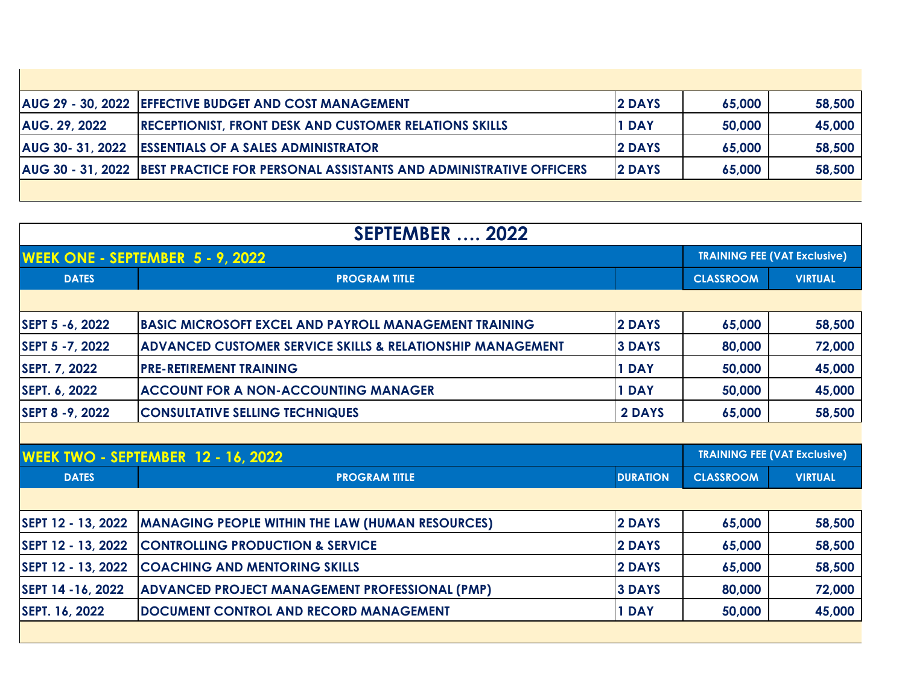|                      | AUG 29 - 30, 2022 EFFECTIVE BUDGET AND COST MANAGEMENT                              | <b>2 DAYS</b> | 65,000 | 58,500 |
|----------------------|-------------------------------------------------------------------------------------|---------------|--------|--------|
| <b>AUG. 29, 2022</b> | <b>RECEPTIONIST, FRONT DESK AND CUSTOMER RELATIONS SKILLS</b>                       | 1 DAY         | 50,000 | 45,000 |
| AUG 30- 31, 2022     | <b>ESSENTIALS OF A SALES ADMINISTRATOR</b>                                          | <b>2 DAYS</b> | 65,000 | 58,500 |
|                      | AUG 30 - 31, 2022 BEST PRACTICE FOR PERSONAL ASSISTANTS AND ADMINISTRATIVE OFFICERS | <b>2 DAYS</b> | 65,000 | 58,500 |
|                      |                                                                                     |               |        |        |

| <b>SEPTEMBER  2022</b> |                                                                       |                 |                  |                                     |  |
|------------------------|-----------------------------------------------------------------------|-----------------|------------------|-------------------------------------|--|
|                        | WEEK ONE - SEPTEMBER 5 - 9, 2022                                      |                 |                  | <b>TRAINING FEE (VAT Exclusive)</b> |  |
| <b>DATES</b>           | <b>PROGRAM TITLE</b>                                                  |                 | <b>CLASSROOM</b> | <b>VIRTUAL</b>                      |  |
|                        |                                                                       |                 |                  |                                     |  |
| SEPT 5 -6, 2022        | <b>BASIC MICROSOFT EXCEL AND PAYROLL MANAGEMENT TRAINING</b>          | 2 DAYS          | 65,000           | 58,500                              |  |
| SEPT 5 - 7, 2022       | <b>ADVANCED CUSTOMER SERVICE SKILLS &amp; RELATIONSHIP MANAGEMENT</b> | <b>3 DAYS</b>   | 80,000           | 72,000                              |  |
| SEPT. 7, 2022          | <b>PRE-RETIREMENT TRAINING</b>                                        | 1 DAY           | 50,000           | 45,000                              |  |
| SEPT. 6, 2022          | <b>ACCOUNT FOR A NON-ACCOUNTING MANAGER</b>                           | 1 DAY           | 50,000           | 45,000                              |  |
| SEPT 8 - 9, 2022       | <b>CONSULTATIVE SELLING TECHNIQUES</b>                                | 2 DAYS          | 65,000           | 58,500                              |  |
|                        |                                                                       |                 |                  |                                     |  |
|                        | <b>WEEK TWO - SEPTEMBER 12 - 16, 2022</b>                             |                 |                  | <b>TRAINING FEE (VAT Exclusive)</b> |  |
| <b>DATES</b>           | <b>PROGRAM TITLE</b>                                                  | <b>DURATION</b> | <b>CLASSROOM</b> | <b>VIRTUAL</b>                      |  |
|                        |                                                                       |                 |                  |                                     |  |
| SEPT 12 - 13, 2022     | <b>MANAGING PEOPLE WITHIN THE LAW (HUMAN RESOURCES)</b>               | 2 DAYS          | 65,000           | 58,500                              |  |
| SEPT 12 - 13, 2022     | <b>CONTROLLING PRODUCTION &amp; SERVICE</b>                           | 2 DAYS          | 65,000           | 58,500                              |  |
| SEPT 12 - 13, 2022     | <b>COACHING AND MENTORING SKILLS</b>                                  | 2 DAYS          | 65,000           | 58,500                              |  |
| SEPT 14 -16, 2022      | ADVANCED PROJECT MANAGEMENT PROFESSIONAL (PMP)                        | <b>3 DAYS</b>   | 80,000           | 72,000                              |  |
| SEPT. 16, 2022         | DOCUMENT CONTROL AND RECORD MANAGEMENT                                | 1 DAY           | 50,000           | 45,000                              |  |
|                        |                                                                       |                 |                  |                                     |  |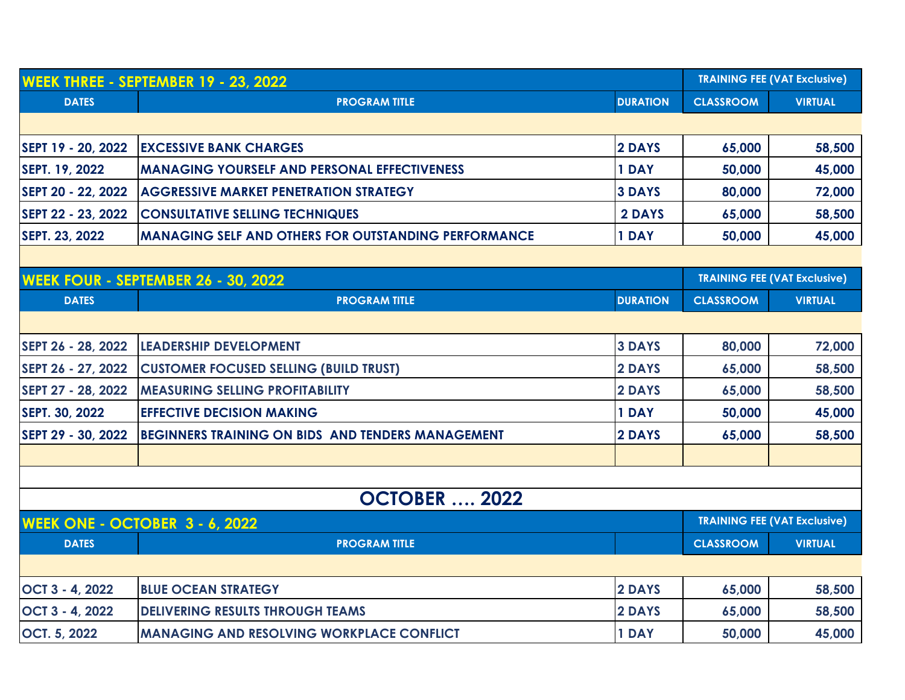| <b>WEEK THREE - SEPTEMBER 19 - 23, 2022</b> |                                                             | <b>TRAINING FEE (VAT Exclusive)</b> |                  |                                     |
|---------------------------------------------|-------------------------------------------------------------|-------------------------------------|------------------|-------------------------------------|
| <b>DATES</b>                                | <b>PROGRAM TITLE</b>                                        | <b>DURATION</b>                     | <b>CLASSROOM</b> | <b>VIRTUAL</b>                      |
|                                             |                                                             |                                     |                  |                                     |
| SEPT 19 - 20, 2022                          | <b>EXCESSIVE BANK CHARGES</b>                               | 2 DAYS                              | 65,000           | 58,500                              |
| SEPT. 19, 2022                              | <b>MANAGING YOURSELF AND PERSONAL EFFECTIVENESS</b>         | 1 DAY                               | 50,000           | 45,000                              |
| SEPT 20 - 22, 2022                          | <b>AGGRESSIVE MARKET PENETRATION STRATEGY</b>               | <b>3 DAYS</b>                       | 80,000           | 72,000                              |
| SEPT 22 - 23, 2022                          | <b>CONSULTATIVE SELLING TECHNIQUES</b>                      | 2 DAYS                              | 65,000           | 58,500                              |
| SEPT. 23, 2022                              | <b>MANAGING SELF AND OTHERS FOR OUTSTANDING PERFORMANCE</b> | 1 DAY                               | 50,000           | 45,000                              |
|                                             |                                                             |                                     |                  |                                     |
|                                             | <b>WEEK FOUR - SEPTEMBER 26 - 30, 2022</b>                  |                                     |                  | <b>TRAINING FEE (VAT Exclusive)</b> |
| <b>DATES</b>                                | <b>PROGRAM TITLE</b>                                        | <b>DURATION</b>                     | <b>CLASSROOM</b> | <b>VIRTUAL</b>                      |
|                                             |                                                             |                                     |                  |                                     |
| SEPT 26 - 28, 2022                          | <b>LEADERSHIP DEVELOPMENT</b>                               | <b>3 DAYS</b>                       | 80,000           | 72,000                              |
| SEPT 26 - 27, 2022                          | <b>CUSTOMER FOCUSED SELLING (BUILD TRUST)</b>               | 2 DAYS                              | 65,000           | 58,500                              |
| SEPT 27 - 28, 2022                          | <b>MEASURING SELLING PROFITABILITY</b>                      | 2 DAYS                              | 65,000           | 58,500                              |
| SEPT. 30, 2022                              | <b>EFFECTIVE DECISION MAKING</b>                            | 1 DAY                               | 50,000           | 45,000                              |
| SEPT 29 - 30, 2022                          | BEGINNERS TRAINING ON BIDS AND TENDERS MANAGEMENT           | 2 DAYS                              | 65,000           | 58,500                              |
|                                             |                                                             |                                     |                  |                                     |
|                                             |                                                             |                                     |                  |                                     |
|                                             | <b>OCTOBER  2022</b>                                        |                                     |                  |                                     |
|                                             | <b>WEEK ONE - OCTOBER 3 - 6, 2022</b>                       |                                     |                  | <b>TRAINING FEE (VAT Exclusive)</b> |
| <b>DATES</b>                                | <b>PROGRAM TITLE</b>                                        |                                     | <b>CLASSROOM</b> | <b>VIRTUAL</b>                      |
|                                             |                                                             |                                     |                  |                                     |
| OCT 3 - 4, 2022                             | <b>BLUE OCEAN STRATEGY</b>                                  | 2 DAYS                              | 65,000           | 58,500                              |
| OCT 3 - 4, 2022                             | <b>DELIVERING RESULTS THROUGH TEAMS</b>                     | 2 DAYS                              | 65,000           | 58,500                              |
| <b>OCT. 5, 2022</b>                         | <b>MANAGING AND RESOLVING WORKPLACE CONFLICT</b>            | 1 DAY                               | 50,000           | 45,000                              |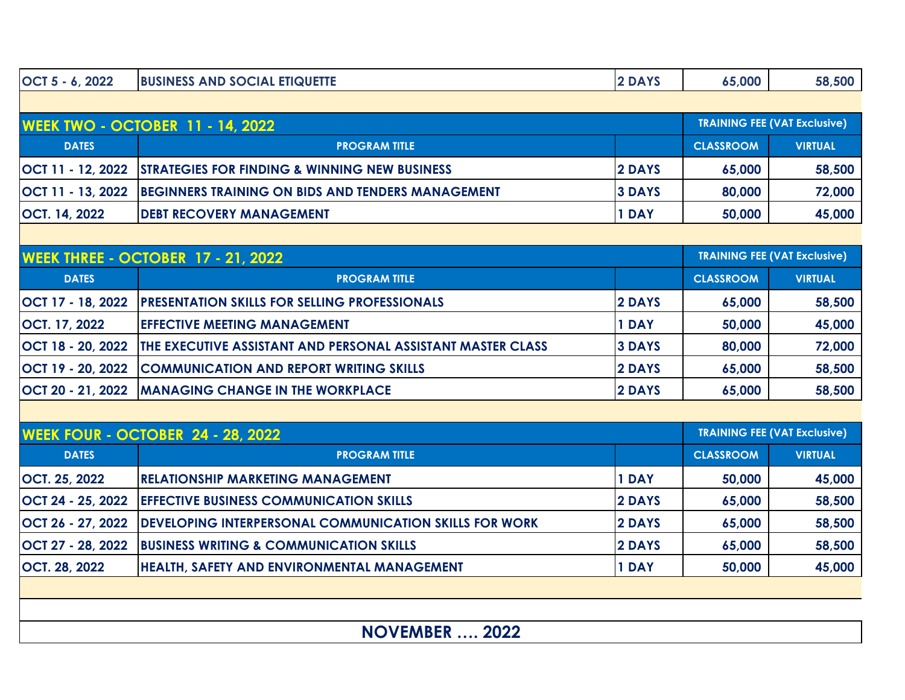| OCT 5 - 6, 2022      | <b>BUSINESS AND SOCIAL ETIQUETTE</b>                                       | 2 DAYS        | 65,000           | 58,500                              |  |
|----------------------|----------------------------------------------------------------------------|---------------|------------------|-------------------------------------|--|
|                      |                                                                            |               |                  |                                     |  |
|                      | <b>WEEK TWO - OCTOBER 11 - 14, 2022</b>                                    |               |                  | <b>TRAINING FEE (VAT Exclusive)</b> |  |
| <b>DATES</b>         | <b>PROGRAM TITLE</b>                                                       |               | <b>CLASSROOM</b> | <b>VIRTUAL</b>                      |  |
| OCT 11 - 12, 2022    | <b>STRATEGIES FOR FINDING &amp; WINNING NEW BUSINESS</b>                   | 2 DAYS        | 65,000           | 58,500                              |  |
| OCT 11 - 13, 2022    | BEGINNERS TRAINING ON BIDS AND TENDERS MANAGEMENT                          | <b>3 DAYS</b> | 80,000           | 72,000                              |  |
| OCT. 14, 2022        | <b>DEBT RECOVERY MANAGEMENT</b>                                            | 1 DAY         | 50,000           | 45,000                              |  |
|                      |                                                                            |               |                  |                                     |  |
|                      | <b>WEEK THREE - OCTOBER 17 - 21, 2022</b>                                  |               |                  | <b>TRAINING FEE (VAT Exclusive)</b> |  |
| <b>DATES</b>         | <b>PROGRAM TITLE</b>                                                       |               | <b>CLASSROOM</b> | <b>VIRTUAL</b>                      |  |
|                      | OCT 17 - 18, 2022   PRESENTATION SKILLS FOR SELLING PROFESSIONALS          | 2 DAYS        | 65,000           | 58,500                              |  |
| OCT. 17, 2022        | <b>EFFECTIVE MEETING MANAGEMENT</b>                                        | 1 DAY         | 50,000           | 45,000                              |  |
| OCT 18 - 20, 2022    | <b>THE EXECUTIVE ASSISTANT AND PERSONAL ASSISTANT MASTER CLASS</b>         | <b>3 DAYS</b> | 80,000           | 72,000                              |  |
| OCT 19 - 20, 2022    | <b>COMMUNICATION AND REPORT WRITING SKILLS</b>                             | 2 DAYS        | 65,000           | 58,500                              |  |
| OCT 20 - 21, 2022    | <b>MANAGING CHANGE IN THE WORKPLACE</b>                                    | 2 DAYS        | 65,000           | 58,500                              |  |
|                      |                                                                            |               |                  |                                     |  |
|                      | <b>WEEK FOUR - OCTOBER 24 - 28, 2022</b>                                   |               |                  | <b>TRAINING FEE (VAT Exclusive)</b> |  |
| <b>DATES</b>         | <b>PROGRAM TITLE</b>                                                       |               | <b>CLASSROOM</b> | <b>VIRTUAL</b>                      |  |
| OCT. 25, 2022        | <b>RELATIONSHIP MARKETING MANAGEMENT</b>                                   | 1 DAY         | 50,000           | 45,000                              |  |
|                      | OCT 24 - 25, 2022 EFFECTIVE BUSINESS COMMUNICATION SKILLS                  | 2 DAYS        | 65,000           | 58,500                              |  |
|                      | OCT 26 - 27, 2022   DEVELOPING INTERPERSONAL COMMUNICATION SKILLS FOR WORK | 2 DAYS        | 65,000           | 58,500                              |  |
|                      | OCT 27 - 28, 2022 BUSINESS WRITING & COMMUNICATION SKILLS                  | 2 DAYS        | 65,000           | 58,500                              |  |
| <b>OCT. 28, 2022</b> | <b>HEALTH, SAFETY AND ENVIRONMENTAL MANAGEMENT</b>                         | 1 DAY         | 50,000           | 45,000                              |  |
|                      |                                                                            |               |                  |                                     |  |
|                      |                                                                            |               |                  |                                     |  |
|                      | 2022<br><b>NOVEMBER.</b>                                                   |               |                  |                                     |  |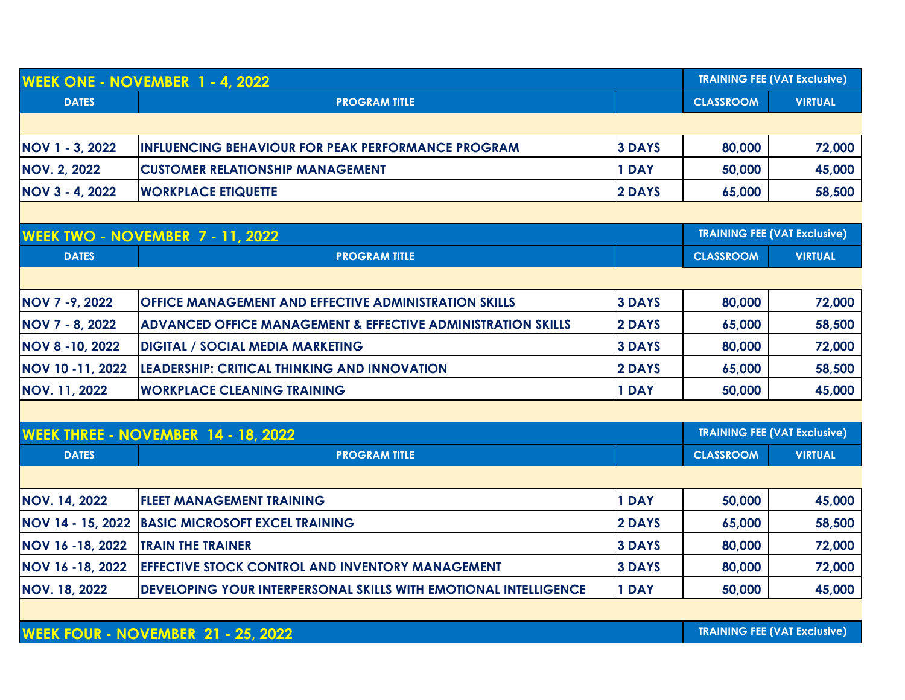| <b>WEEK ONE - NOVEMBER 1 - 4, 2022</b> |                                                                         | <b>TRAINING FEE (VAT Exclusive)</b> |                  |                                     |
|----------------------------------------|-------------------------------------------------------------------------|-------------------------------------|------------------|-------------------------------------|
| <b>DATES</b>                           | <b>PROGRAM TITLE</b>                                                    |                                     | <b>CLASSROOM</b> | <b>VIRTUAL</b>                      |
|                                        |                                                                         |                                     |                  |                                     |
| NOV 1 - 3, 2022                        | <b>INFLUENCING BEHAVIOUR FOR PEAK PERFORMANCE PROGRAM</b>               | <b>3 DAYS</b>                       | 80,000           | 72,000                              |
| <b>NOV. 2, 2022</b>                    | <b>CUSTOMER RELATIONSHIP MANAGEMENT</b>                                 | 1 DAY                               | 50,000           | 45,000                              |
| <b>NOV 3 - 4, 2022</b>                 | <b>WORKPLACE ETIQUETTE</b>                                              | 2 DAYS                              | 65,000           | 58,500                              |
|                                        |                                                                         |                                     |                  |                                     |
|                                        | <b>WEEK TWO - NOVEMBER 7 - 11, 2022</b>                                 |                                     |                  | <b>TRAINING FEE (VAT Exclusive)</b> |
| <b>DATES</b>                           | <b>PROGRAM TITLE</b>                                                    |                                     | <b>CLASSROOM</b> | <b>VIRTUAL</b>                      |
|                                        |                                                                         |                                     |                  |                                     |
| NOV 7 - 9, 2022                        | <b>OFFICE MANAGEMENT AND EFFECTIVE ADMINISTRATION SKILLS</b>            | <b>3 DAYS</b>                       | 80,000           | 72,000                              |
| <b>NOV 7 - 8, 2022</b>                 | <b>ADVANCED OFFICE MANAGEMENT &amp; EFFECTIVE ADMINISTRATION SKILLS</b> | 2 DAYS                              | 65,000           | 58,500                              |
| <b>NOV 8 - 10, 2022</b>                | <b>DIGITAL / SOCIAL MEDIA MARKETING</b>                                 | <b>3 DAYS</b>                       | 80,000           | 72,000                              |
| NOV 10 -11, 2022                       | <b>LEADERSHIP: CRITICAL THINKING AND INNOVATION</b>                     | 2 DAYS                              | 65,000           | 58,500                              |
| <b>NOV. 11, 2022</b>                   | <b>WORKPLACE CLEANING TRAINING</b>                                      | 1 DAY                               | 50,000           | 45,000                              |
|                                        |                                                                         |                                     |                  |                                     |
|                                        | <b>WEEK THREE - NOVEMBER 14 - 18, 2022</b>                              |                                     |                  | <b>TRAINING FEE (VAT Exclusive)</b> |
| <b>DATES</b>                           | <b>PROGRAM TITLE</b>                                                    |                                     | <b>CLASSROOM</b> | <b>VIRTUAL</b>                      |
|                                        |                                                                         |                                     |                  |                                     |
| <b>NOV. 14, 2022</b>                   | <b>FLEET MANAGEMENT TRAINING</b>                                        | 1 DAY                               | 50,000           | 45,000                              |
| NOV 14 - 15, 2022                      | <b>BASIC MICROSOFT EXCEL TRAINING</b>                                   | 2 DAYS                              | 65,000           | 58,500                              |
| NOV 16 - 18, 2022                      | <b>TRAIN THE TRAINER</b>                                                | <b>3 DAYS</b>                       | 80,000           | 72,000                              |
| NOV 16 - 18, 2022                      | <b>EFFECTIVE STOCK CONTROL AND INVENTORY MANAGEMENT</b>                 | <b>3 DAYS</b>                       | 80,000           | 72,000                              |
| <b>NOV. 18, 2022</b>                   | DEVELOPING YOUR INTERPERSONAL SKILLS WITH EMOTIONAL INTELLIGENCE        | 1 DAY                               | 50,000           | 45,000                              |
|                                        |                                                                         |                                     |                  |                                     |
|                                        | <b>WEEK FOUR - NOVEMBER 21 - 25, 2022</b>                               |                                     |                  | <b>TRAINING FEE (VAT Exclusive)</b> |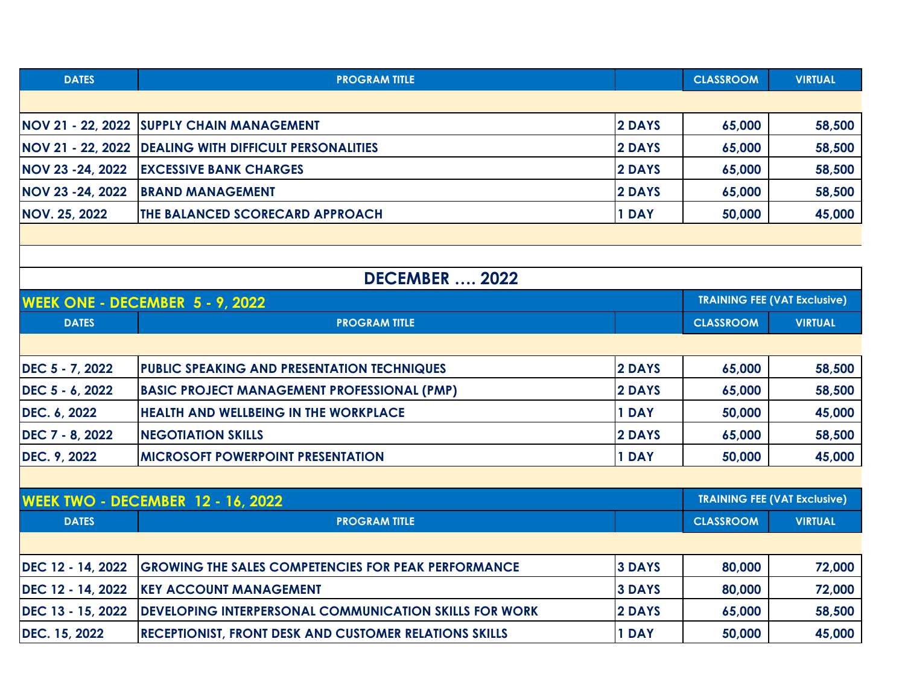| <b>DATES</b>                             | <b>PROGRAM TITLE</b>                                          |                                     | <b>CLASSROOM</b>                    | <b>VIRTUAL</b> |  |  |
|------------------------------------------|---------------------------------------------------------------|-------------------------------------|-------------------------------------|----------------|--|--|
|                                          |                                                               |                                     |                                     |                |  |  |
|                                          | NOV 21 - 22, 2022 SUPPLY CHAIN MANAGEMENT                     | 2 DAYS                              | 65,000                              | 58,500         |  |  |
| NOV 21 - 22, 2022                        | <b>DEALING WITH DIFFICULT PERSONALITIES</b>                   | 2 DAYS                              | 65,000                              | 58,500         |  |  |
| NOV 23 -24, 2022                         | <b>EXCESSIVE BANK CHARGES</b>                                 | 2 DAYS                              | 65,000                              | 58,500         |  |  |
| NOV 23 -24, 2022                         | <b>BRAND MANAGEMENT</b>                                       | 2 DAYS                              | 65,000                              | 58,500         |  |  |
| <b>NOV. 25, 2022</b>                     | THE BALANCED SCORECARD APPROACH                               | 1 DAY                               | 50,000                              | 45,000         |  |  |
|                                          |                                                               |                                     |                                     |                |  |  |
|                                          |                                                               |                                     |                                     |                |  |  |
| <b>DECEMBER  2022</b>                    |                                                               |                                     |                                     |                |  |  |
| <b>WEEK ONE - DECEMBER 5 - 9, 2022</b>   |                                                               | <b>TRAINING FEE (VAT Exclusive)</b> |                                     |                |  |  |
| <b>DATES</b>                             | <b>PROGRAM TITLE</b>                                          |                                     | <b>CLASSROOM</b>                    | <b>VIRTUAL</b> |  |  |
|                                          |                                                               |                                     |                                     |                |  |  |
| DEC 5 - 7, 2022                          | PUBLIC SPEAKING AND PRESENTATION TECHNIQUES                   | 2 DAYS                              | 65,000                              | 58,500         |  |  |
| DEC 5 - 6, 2022                          | <b>BASIC PROJECT MANAGEMENT PROFESSIONAL (PMP)</b>            | 2 DAYS                              | 65,000                              | 58,500         |  |  |
| DEC. 6, 2022                             | <b>HEALTH AND WELLBEING IN THE WORKPLACE</b>                  | 1 DAY                               | 50,000                              | 45,000         |  |  |
| DEC 7 - 8, 2022                          | <b>NEGOTIATION SKILLS</b>                                     | 2 DAYS                              | 65,000                              | 58,500         |  |  |
| DEC. 9, 2022                             | <b>MICROSOFT POWERPOINT PRESENTATION</b>                      | 1 DAY                               | 50,000                              | 45,000         |  |  |
|                                          |                                                               |                                     |                                     |                |  |  |
| <b>WEEK TWO - DECEMBER 12 - 16, 2022</b> |                                                               |                                     | <b>TRAINING FEE (VAT Exclusive)</b> |                |  |  |
| <b>DATES</b>                             | <b>PROGRAM TITLE</b>                                          |                                     | <b>CLASSROOM</b>                    | <b>VIRTUAL</b> |  |  |
|                                          |                                                               |                                     |                                     |                |  |  |
| DEC 12 - 14, 2022                        | <b>GROWING THE SALES COMPETENCIES FOR PEAK PERFORMANCE</b>    | <b>3 DAYS</b>                       | 80,000                              | 72,000         |  |  |
| DEC 12 - 14, 2022                        | <b>KEY ACCOUNT MANAGEMENT</b>                                 | <b>3 DAYS</b>                       | 80,000                              | 72,000         |  |  |
| DEC 13 - 15, 2022                        | <b>DEVELOPING INTERPERSONAL COMMUNICATION SKILLS FOR WORK</b> | 2 DAYS                              | 65,000                              | 58,500         |  |  |
| DEC. 15, 2022                            | RECEPTIONIST, FRONT DESK AND CUSTOMER RELATIONS SKILLS        | 1 DAY                               | 50,000                              | 45,000         |  |  |